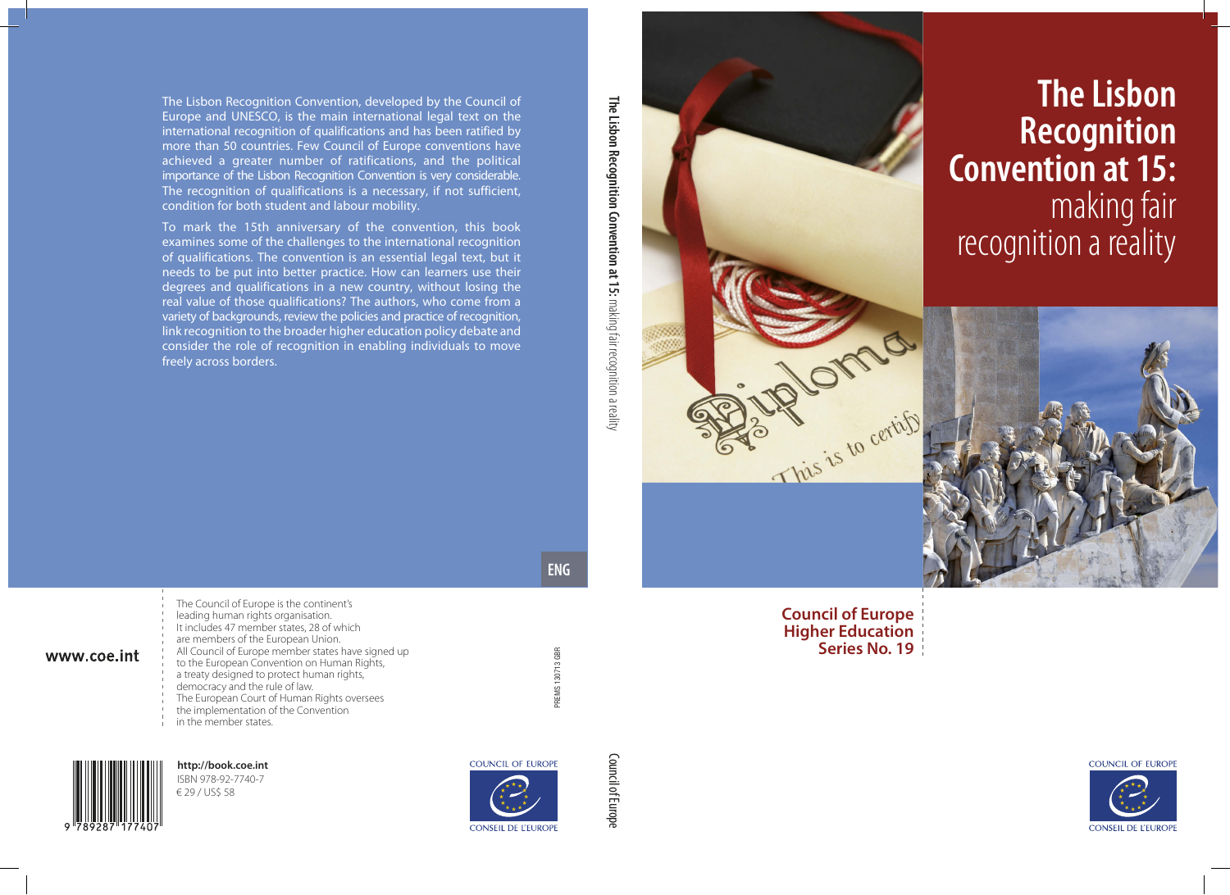# **The Lisbon Recognition Convention at 15:**  making fair recognition a reality





COUNCIL OF EUROPE

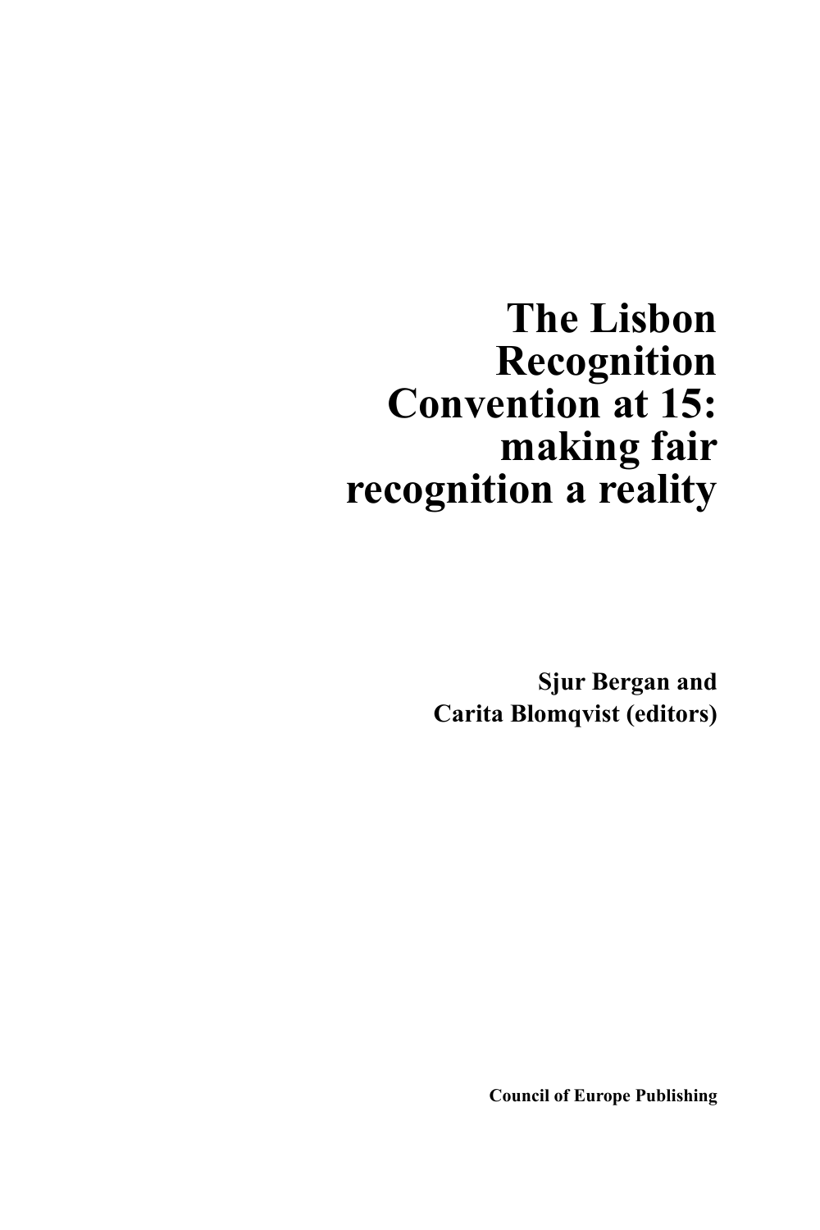## **The Lisbon Recognition Convention at 15: making fair recognition a reality**

**Sjur Bergan and Carita Blomqvist (editors)**

**Council of Europe Publishing**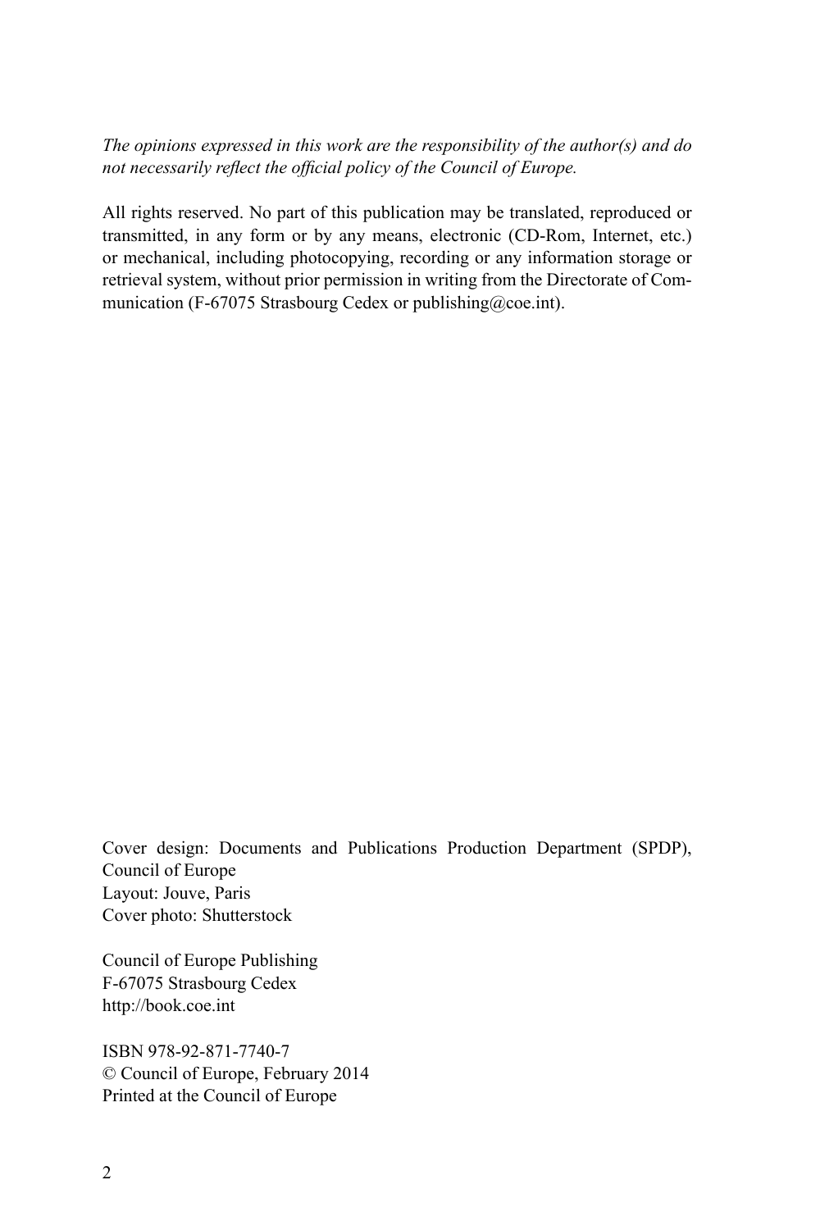*The opinions expressed in this work are the responsibility of the author(s) and do not necessarily reflect the official policy of the Council of Europe.*

All rights reserved. No part of this publication may be translated, reproduced or transmitted, in any form or by any means, electronic (CD-Rom, Internet, etc.) or mechanical, including photocopying, recording or any information storage or retrieval system, without prior permission in writing from the Directorate of Communication (F-67075 Strasbourg Cedex or [publishing@coe.int\)](mailto:publishing%40coe.int?subject=).

Cover design: Documents and Publications Production Department (SPDP), Council of Europe Layout: Jouve, Paris Cover photo: Shutterstock

Council of Europe Publishing F-67075 Strasbourg Cedex <http://book.coe.int>

ISBN 978-92-871-7740-7 © Council of Europe, February 2014 Printed at the Council of Europe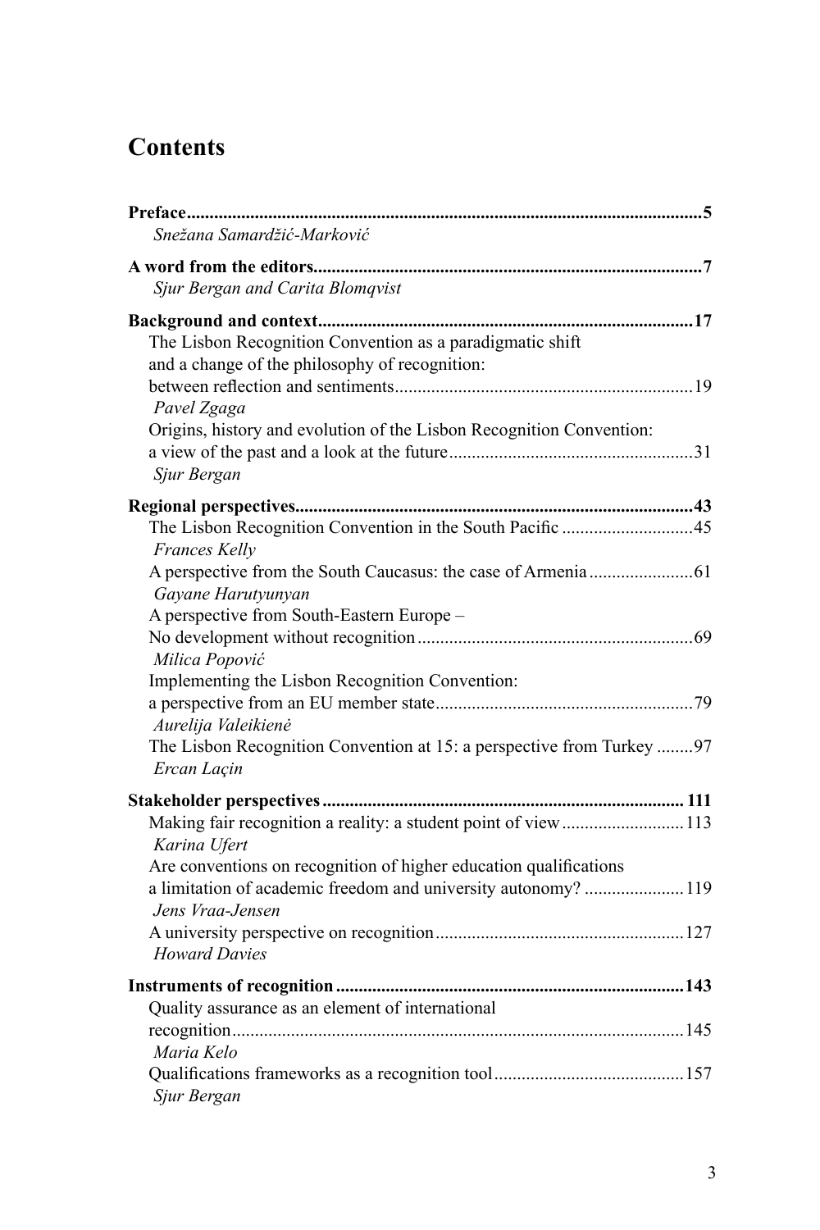### **Contents**

| Snežana Samardžić-Marković                                                                                                                           |  |
|------------------------------------------------------------------------------------------------------------------------------------------------------|--|
| Sjur Bergan and Carita Blomqvist                                                                                                                     |  |
| The Lisbon Recognition Convention as a paradigmatic shift<br>and a change of the philosophy of recognition:                                          |  |
| Pavel Zgaga<br>Origins, history and evolution of the Lisbon Recognition Convention:                                                                  |  |
| Sjur Bergan                                                                                                                                          |  |
|                                                                                                                                                      |  |
| Frances Kelly                                                                                                                                        |  |
| Gayane Harutyunyan<br>A perspective from South-Eastern Europe -                                                                                      |  |
| Milica Popović<br>Implementing the Lisbon Recognition Convention:                                                                                    |  |
| Aurelija Valeikienė                                                                                                                                  |  |
| The Lisbon Recognition Convention at 15: a perspective from Turkey 97<br>Ercan Laçin                                                                 |  |
|                                                                                                                                                      |  |
| Making fair recognition a reality: a student point of view  113<br>Karina Ufert<br>Are conventions on recognition of higher education qualifications |  |
| a limitation of academic freedom and university autonomy? 119<br>Jens Vraa-Jensen                                                                    |  |
| <b>Howard Davies</b>                                                                                                                                 |  |
| Quality assurance as an element of international                                                                                                     |  |
| Maria Kelo                                                                                                                                           |  |
| Sjur Bergan                                                                                                                                          |  |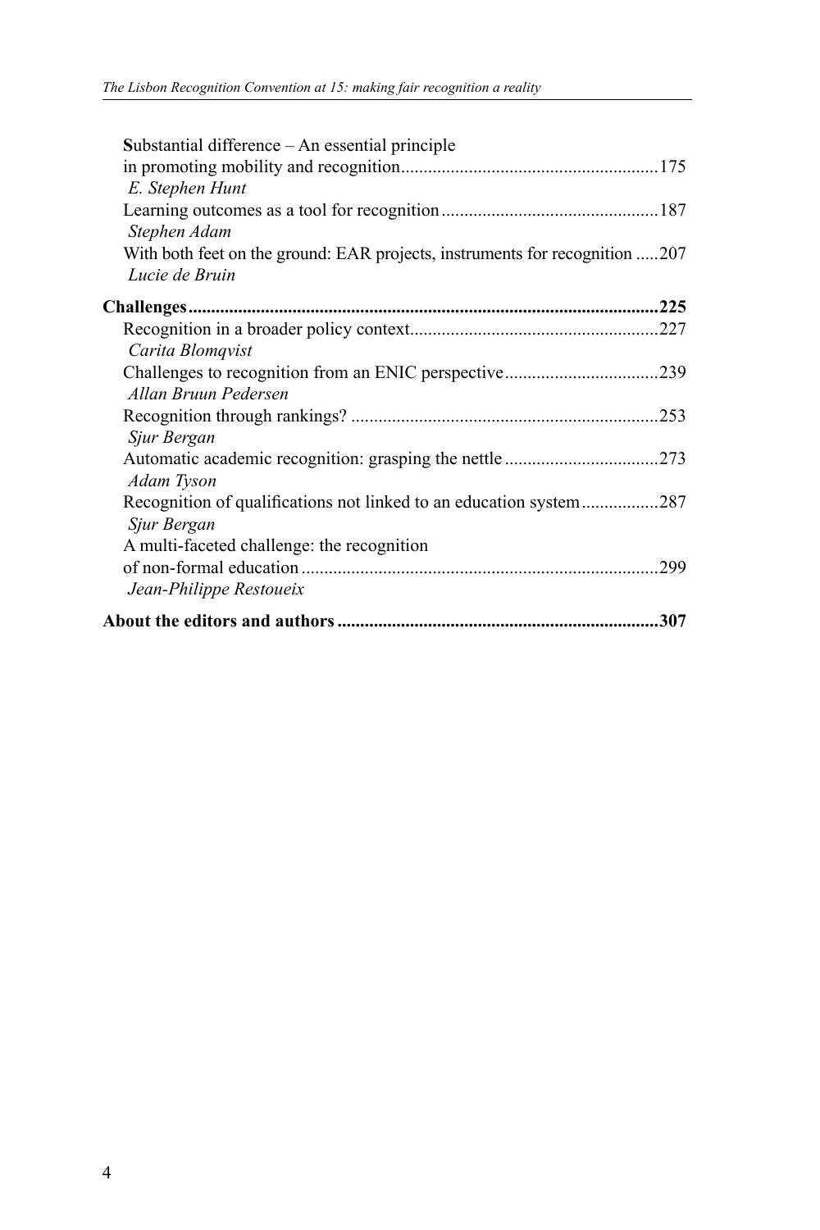| Substantial difference – An essential principle<br>E. Stephen Hunt                            |      |
|-----------------------------------------------------------------------------------------------|------|
| Stephen Adam                                                                                  |      |
| With both feet on the ground: EAR projects, instruments for recognition 207<br>Lucie de Bruin |      |
|                                                                                               |      |
| Carita Blomqvist                                                                              |      |
| Allan Bruun Pedersen                                                                          |      |
| Sjur Bergan                                                                                   |      |
| Adam Tyson                                                                                    |      |
| Recognition of qualifications not linked to an education system287<br>Sjur Bergan             |      |
| A multi-faceted challenge: the recognition                                                    | .299 |
| Jean-Philippe Restoueix                                                                       |      |
|                                                                                               | 307  |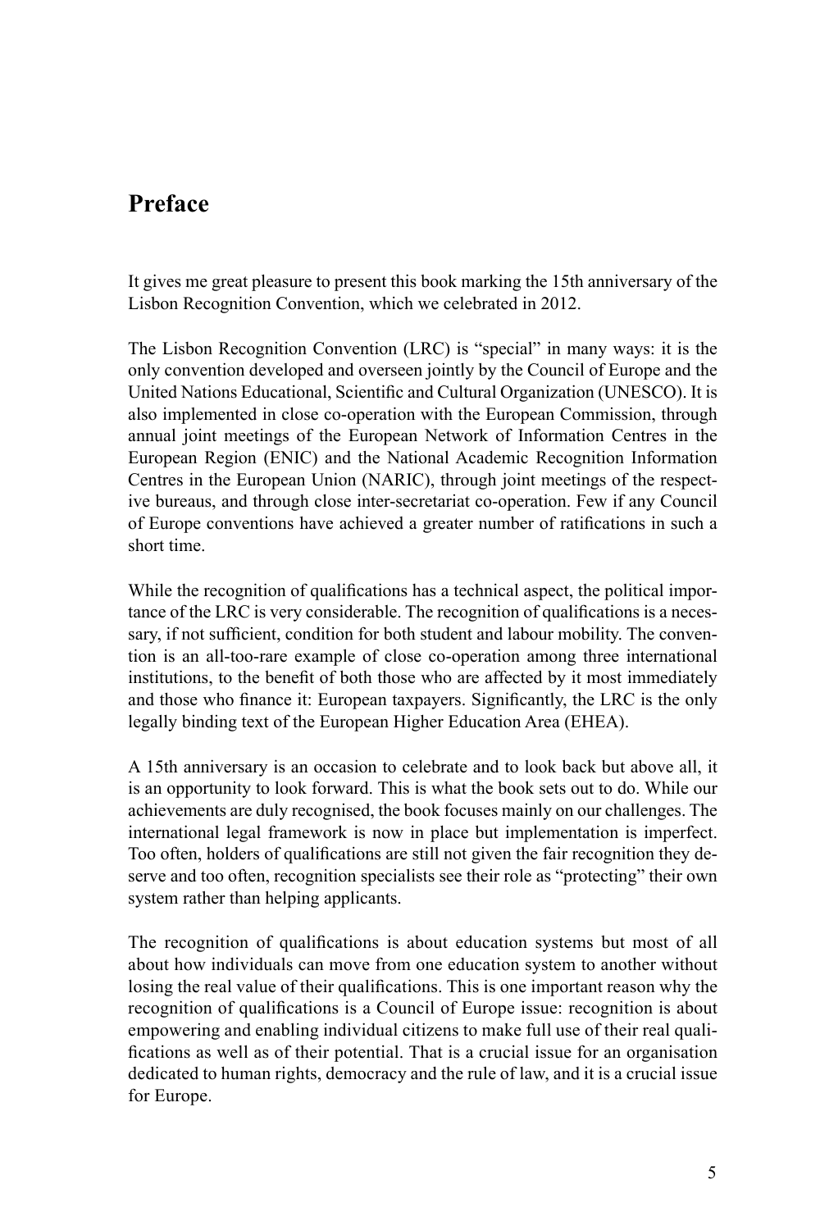#### **Preface**

It gives me great pleasure to present this book marking the 15th anniversary of the Lisbon Recognition Convention, which we celebrated in 2012.

The Lisbon Recognition Convention (LRC) is "special" in many ways: it is the only convention developed and overseen jointly by the Council of Europe and the United Nations Educational, Scientific and Cultural Organization (UNESCO). It is also implemented in close co-operation with the European Commission, through annual joint meetings of the European Network of Information Centres in the European Region (ENIC) and the National Academic Recognition Information Centres in the European Union (NARIC), through joint meetings of the respective bureaus, and through close inter-secretariat co-operation. Few if any Council of Europe conventions have achieved a greater number of ratifications in such a short time.

While the recognition of qualifications has a technical aspect, the political importance of the LRC is very considerable. The recognition of qualifications is a necessary, if not sufficient, condition for both student and labour mobility. The convention is an all-too-rare example of close co-operation among three international institutions, to the benefit of both those who are affected by it most immediately and those who finance it: European taxpayers. Significantly, the LRC is the only legally binding text of the European Higher Education Area (EHEA).

A 15th anniversary is an occasion to celebrate and to look back but above all, it is an opportunity to look forward. This is what the book sets out to do. While our achievements are duly recognised, the book focuses mainly on our challenges. The international legal framework is now in place but implementation is imperfect. Too often, holders of qualifications are still not given the fair recognition they deserve and too often, recognition specialists see their role as "protecting" their own system rather than helping applicants.

The recognition of qualifications is about education systems but most of all about how individuals can move from one education system to another without losing the real value of their qualifications. This is one important reason why the recognition of qualifications is a Council of Europe issue: recognition is about empowering and enabling individual citizens to make full use of their real qualifications as well as of their potential. That is a crucial issue for an organisation dedicated to human rights, democracy and the rule of law, and it is a crucial issue for Europe.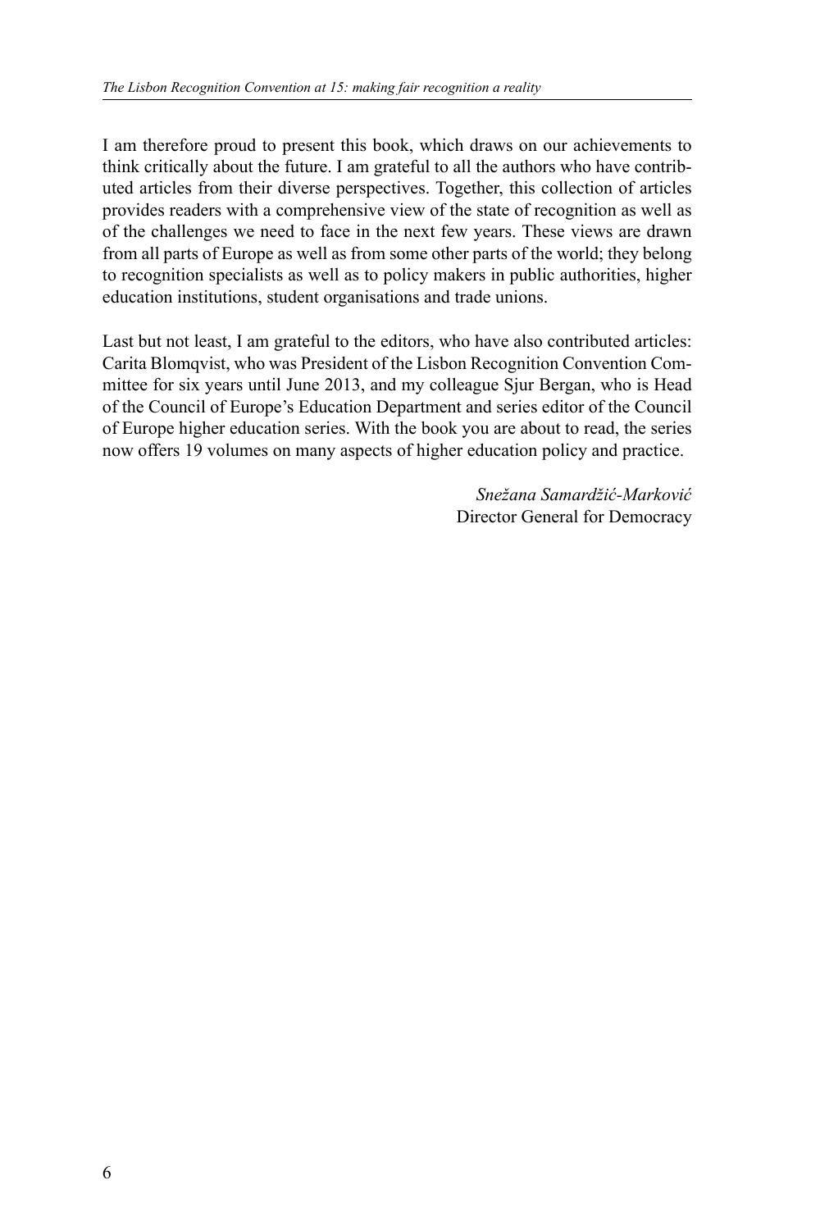I am therefore proud to present this book, which draws on our achievements to think critically about the future. I am grateful to all the authors who have contributed articles from their diverse perspectives. Together, this collection of articles provides readers with a comprehensive view of the state of recognition as well as of the challenges we need to face in the next few years. These views are drawn from all parts of Europe as well as from some other parts of the world; they belong to recognition specialists as well as to policy makers in public authorities, higher education institutions, student organisations and trade unions.

Last but not least, I am grateful to the editors, who have also contributed articles: Carita Blomqvist, who was President of the Lisbon Recognition Convention Committee for six years until June 2013, and my colleague Sjur Bergan, who is Head of the Council of Europe's Education Department and series editor of the Council of Europe higher education series. With the book you are about to read, the series now offers 19 volumes on many aspects of higher education policy and practice.

> *Snežana Samardžić-Marković* Director General for Democracy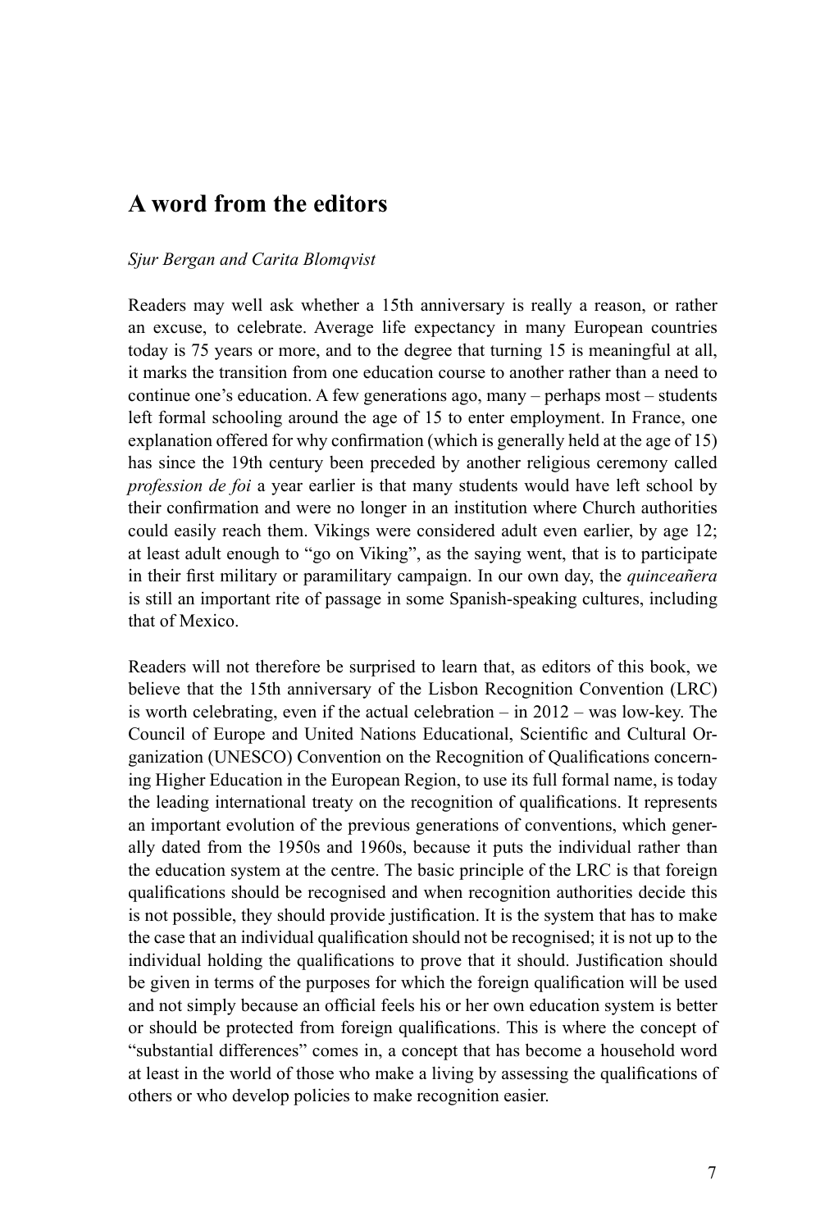#### **A word from the editors**

#### *Sjur Bergan and Carita Blomqvist*

Readers may well ask whether a 15th anniversary is really a reason, or rather an excuse, to celebrate. Average life expectancy in many European countries today is 75 years or more, and to the degree that turning 15 is meaningful at all, it marks the transition from one education course to another rather than a need to continue one's education. A few generations ago, many – perhaps most – students left formal schooling around the age of 15 to enter employment. In France, one explanation offered for why confirmation (which is generally held at the age of 15) has since the 19th century been preceded by another religious ceremony called *profession de foi* a year earlier is that many students would have left school by their confirmation and were no longer in an institution where Church authorities could easily reach them. Vikings were considered adult even earlier, by age 12; at least adult enough to "go on Viking", as the saying went, that is to participate in their first military or paramilitary campaign. In our own day, the *quinceañera* is still an important rite of passage in some Spanish-speaking cultures, including that of Mexico.

Readers will not therefore be surprised to learn that, as editors of this book, we believe that the 15th anniversary of the Lisbon Recognition Convention (LRC) is worth celebrating, even if the actual celebration – in 2012 – was low-key. The Council of Europe and United Nations Educational, Scientific and Cultural Organization (UNESCO) Convention on the Recognition of Qualifications concerning Higher Education in the European Region, to use its full formal name, is today the leading international treaty on the recognition of qualifications. It represents an important evolution of the previous generations of conventions, which generally dated from the 1950s and 1960s, because it puts the individual rather than the education system at the centre. The basic principle of the LRC is that foreign qualifications should be recognised and when recognition authorities decide this is not possible, they should provide justification. It is the system that has to make the case that an individual qualification should not be recognised; it is not up to the individual holding the qualifications to prove that it should. Justification should be given in terms of the purposes for which the foreign qualification will be used and not simply because an official feels his or her own education system is better or should be protected from foreign qualifications. This is where the concept of "substantial differences" comes in, a concept that has become a household word at least in the world of those who make a living by assessing the qualifications of others or who develop policies to make recognition easier.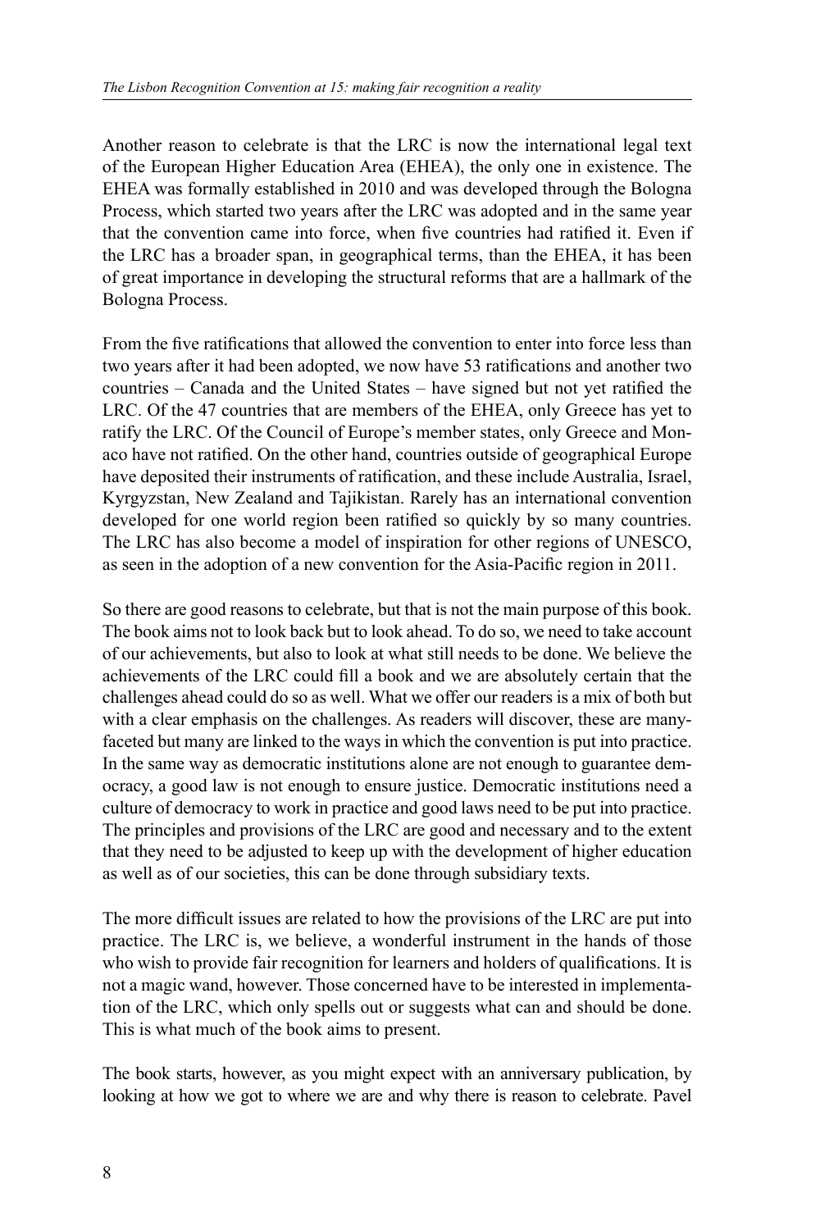Another reason to celebrate is that the LRC is now the international legal text of the European Higher Education Area (EHEA), the only one in existence. The EHEA was formally established in 2010 and was developed through the Bologna Process, which started two years after the LRC was adopted and in the same year that the convention came into force, when five countries had ratified it. Even if the LRC has a broader span, in geographical terms, than the EHEA, it has been of great importance in developing the structural reforms that are a hallmark of the Bologna Process.

From the five ratifications that allowed the convention to enter into force less than two years after it had been adopted, we now have 53 ratifications and another two countries – Canada and the United States – have signed but not yet ratified the LRC. Of the 47 countries that are members of the EHEA, only Greece has yet to ratify the LRC. Of the Council of Europe's member states, only Greece and Monaco have not ratified. On the other hand, countries outside of geographical Europe have deposited their instruments of ratification, and these include Australia, Israel, Kyrgyzstan, New Zealand and Tajikistan. Rarely has an international convention developed for one world region been ratified so quickly by so many countries. The LRC has also become a model of inspiration for other regions of UNESCO, as seen in the adoption of a new convention for the Asia-Pacific region in 2011.

So there are good reasons to celebrate, but that is not the main purpose of this book. The book aims not to look back but to look ahead. To do so, we need to take account of our achievements, but also to look at what still needs to be done. We believe the achievements of the LRC could fill a book and we are absolutely certain that the challenges ahead could do so as well. What we offer our readers is a mix of both but with a clear emphasis on the challenges. As readers will discover, these are manyfaceted but many are linked to the ways in which the convention is put into practice. In the same way as democratic institutions alone are not enough to guarantee democracy, a good law is not enough to ensure justice. Democratic institutions need a culture of democracy to work in practice and good laws need to be put into practice. The principles and provisions of the LRC are good and necessary and to the extent that they need to be adjusted to keep up with the development of higher education as well as of our societies, this can be done through subsidiary texts.

The more difficult issues are related to how the provisions of the LRC are put into practice. The LRC is, we believe, a wonderful instrument in the hands of those who wish to provide fair recognition for learners and holders of qualifications. It is not a magic wand, however. Those concerned have to be interested in implementation of the LRC, which only spells out or suggests what can and should be done. This is what much of the book aims to present.

The book starts, however, as you might expect with an anniversary publication, by looking at how we got to where we are and why there is reason to celebrate. Pavel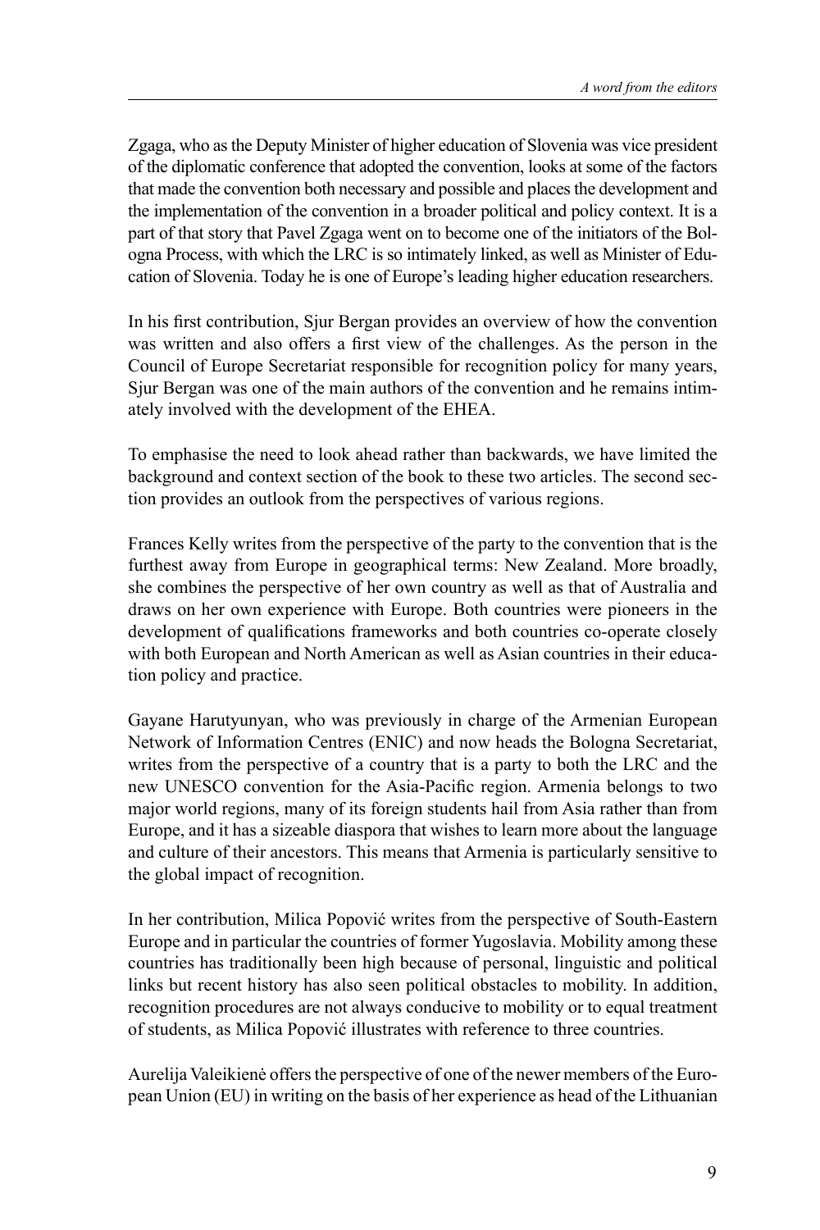Zgaga, who as the Deputy Minister of higher education of Slovenia was vice president of the diplomatic conference that adopted the convention, looks at some of the factors that made the convention both necessary and possible and places the development and the implementation of the convention in a broader political and policy context. It is a part of that story that Pavel Zgaga went on to become one of the initiators of the Bologna Process, with which the LRC is so intimately linked, as well as Minister of Education of Slovenia. Today he is one of Europe's leading higher education researchers.

In his first contribution, Sjur Bergan provides an overview of how the convention was written and also offers a first view of the challenges. As the person in the Council of Europe Secretariat responsible for recognition policy for many years, Sjur Bergan was one of the main authors of the convention and he remains intimately involved with the development of the EHEA.

To emphasise the need to look ahead rather than backwards, we have limited the background and context section of the book to these two articles. The second section provides an outlook from the perspectives of various regions.

Frances Kelly writes from the perspective of the party to the convention that is the furthest away from Europe in geographical terms: New Zealand. More broadly, she combines the perspective of her own country as well as that of Australia and draws on her own experience with Europe. Both countries were pioneers in the development of qualifications frameworks and both countries co-operate closely with both European and North American as well as Asian countries in their education policy and practice.

Gayane Harutyunyan, who was previously in charge of the Armenian European Network of Information Centres (ENIC) and now heads the Bologna Secretariat, writes from the perspective of a country that is a party to both the LRC and the new UNESCO convention for the Asia-Pacific region. Armenia belongs to two major world regions, many of its foreign students hail from Asia rather than from Europe, and it has a sizeable diaspora that wishes to learn more about the language and culture of their ancestors. This means that Armenia is particularly sensitive to the global impact of recognition.

In her contribution, Milica Popović writes from the perspective of South-Eastern Europe and in particular the countries of former Yugoslavia. Mobility among these countries has traditionally been high because of personal, linguistic and political links but recent history has also seen political obstacles to mobility. In addition, recognition procedures are not always conducive to mobility or to equal treatment of students, as Milica Popović illustrates with reference to three countries.

Aurelija Valeikienė offers the perspective of one of the newer members of the European Union (EU) in writing on the basis of her experience as head of the Lithuanian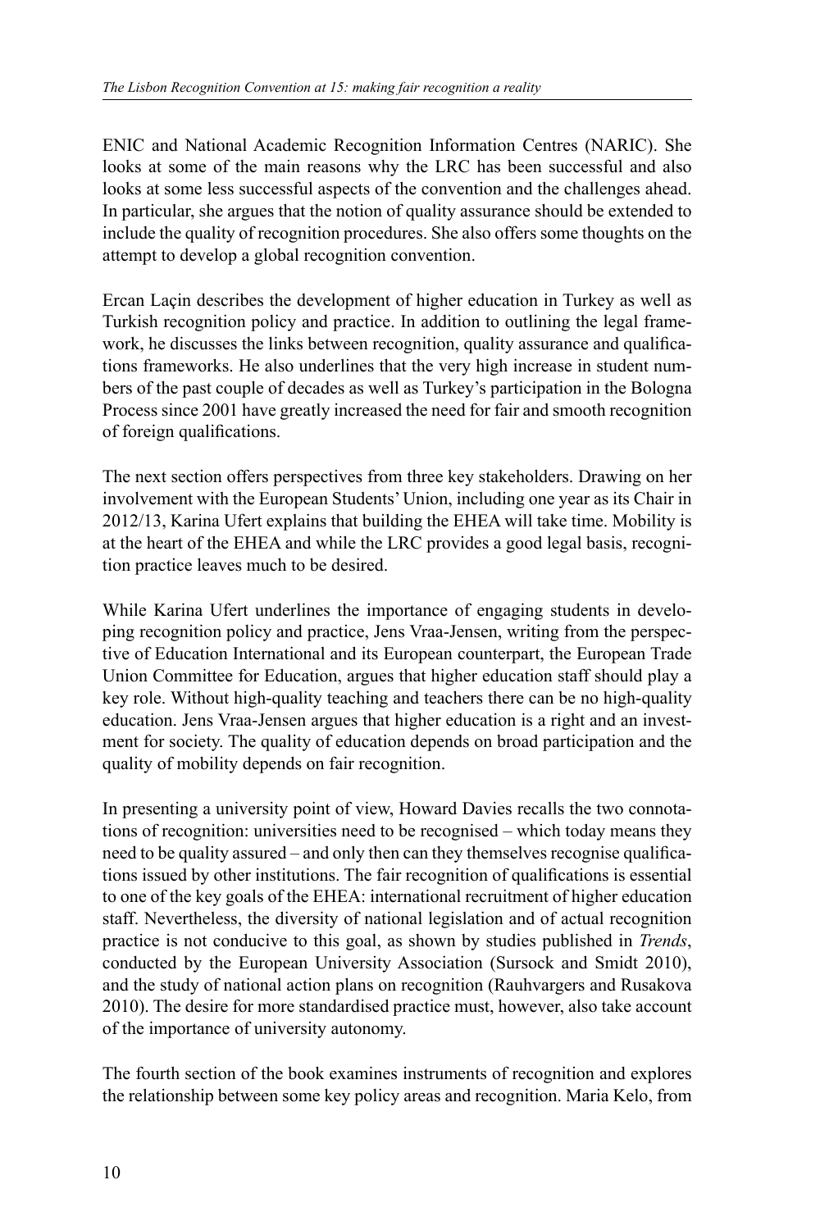ENIC and National Academic Recognition Information Centres (NARIC). She looks at some of the main reasons why the LRC has been successful and also looks at some less successful aspects of the convention and the challenges ahead. In particular, she argues that the notion of quality assurance should be extended to include the quality of recognition procedures. She also offers some thoughts on the attempt to develop a global recognition convention.

Ercan Laçin describes the development of higher education in Turkey as well as Turkish recognition policy and practice. In addition to outlining the legal framework, he discusses the links between recognition, quality assurance and qualifications frameworks. He also underlines that the very high increase in student numbers of the past couple of decades as well as Turkey's participation in the Bologna Process since 2001 have greatly increased the need for fair and smooth recognition of foreign qualifications.

The next section offers perspectives from three key stakeholders. Drawing on her involvement with the European Students' Union, including one year as its Chair in 2012/13, Karina Ufert explains that building the EHEA will take time. Mobility is at the heart of the EHEA and while the LRC provides a good legal basis, recognition practice leaves much to be desired.

While Karina Ufert underlines the importance of engaging students in developing recognition policy and practice, Jens Vraa-Jensen, writing from the perspective of Education International and its European counterpart, the European Trade Union Committee for Education, argues that higher education staff should play a key role. Without high-quality teaching and teachers there can be no high-quality education. Jens Vraa-Jensen argues that higher education is a right and an investment for society. The quality of education depends on broad participation and the quality of mobility depends on fair recognition.

In presenting a university point of view, Howard Davies recalls the two connotations of recognition: universities need to be recognised – which today means they need to be quality assured – and only then can they themselves recognise qualifications issued by other institutions. The fair recognition of qualifications is essential to one of the key goals of the EHEA: international recruitment of higher education staff. Nevertheless, the diversity of national legislation and of actual recognition practice is not conducive to this goal, as shown by studies published in *Trends*, conducted by the European University Association (Sursock and Smidt 2010), and the study of national action plans on recognition (Rauhvargers and Rusakova 2010). The desire for more standardised practice must, however, also take account of the importance of university autonomy.

The fourth section of the book examines instruments of recognition and explores the relationship between some key policy areas and recognition. Maria Kelo, from